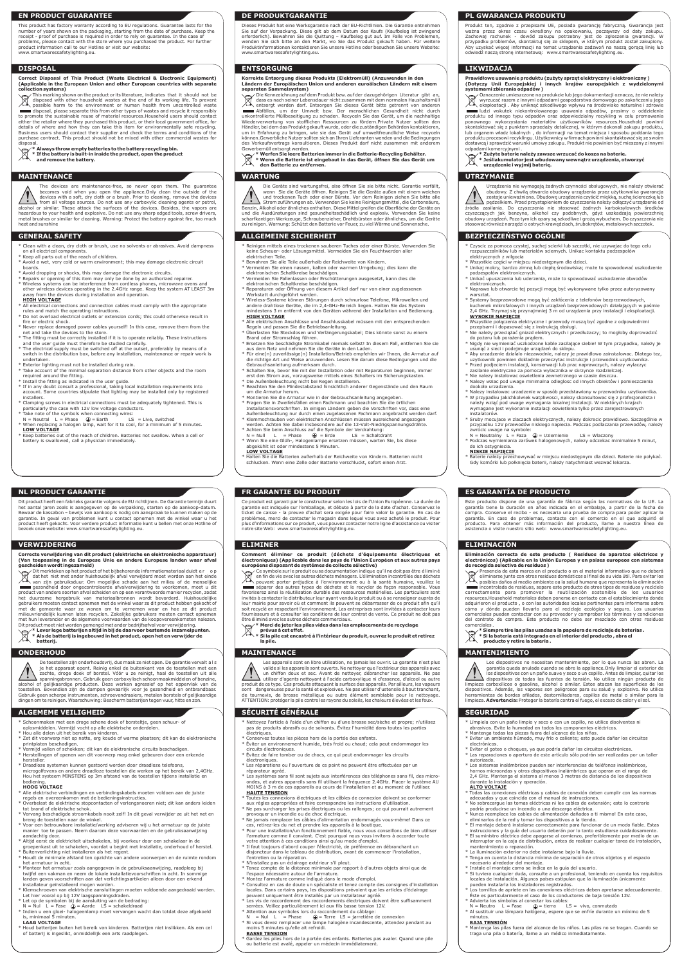# **NL PRODUCT GARANTIE FR GARANTIE DU PRODUIT ES GARANTÍA DE PRODUCTO**

# **VERWIJDERING ELIMINER ELIMINACIÓN**

# **ONDERHOUD MAINTENANCE MANTENIMIENTO**

Dieses Produkt hat eine Werksgarantie nach der EU-Richtlinien. Die Garantie entnehmen Sie auf der Verpackung. Diese gilt ab dem Datum des Kaufs (Kaufbeleg ist zwingend<br>erforderlich). Bewahren Sie die Quittung – Kaufbeleg gut auf. Im Falle von Problemen,<br>wenden Sie sich bitte an den Markt, wo Sie das Produkt Produktinformationen kontaktieren Sie unsere Hotline oder besuchen Sie unsere Website: www.smartwaressafetylighting.eu.

# **ENTSORGUNG LIKWIDACJA**

Produkt ten, zgodnie z przepisami UE, posiada gwarancję fabryczną. Gwarancja jest ważna przez okres czasu określony na opakowaniu, począwszy od daty zakupu.<br>Zachowaj rachunek - dowód zakupu potrzebny jest do zgłoszenia gwarancji. W<br>przypadku problemów, skontaktuj-się-ze-sklepem, w którym-produkt-został-Aby uzyskać więcej informacji na temat urządzenia zadzwoń na naszą gorącą linię lub odwiedź naszą stronę internetową: www.smartwaressafetylighting.eu.

Dit product heeft een fabrieks garantie volgens de EU richtlijnen. De Garantie termijn duurt het aantal jaren zoals is aangegeven op de verpakking, starten op de aankoop-datum. Bewaar de kassabon – bewijs van aankoop is nodig om aanspraak te kunnen maken op de garantie. In geval van problemen kunt u contact opnemen met de winkel waar u het product heeft gekocht. Voor verdere product informatie kunt u bellen met onze Hotline of bezoek onze website: www.smartwaressafetylighting.eu.

Ce produit est garanti par le constructeur selon les lois de l'Union Européenne. La durée de garantie est indiquée sur l'emballage, et débute à partir de la date d'achat. Conservez le ticket de caisse - la preuve d'achat sera exigée pour faire valoir la garantie. En cas de problèmes, merci de contacter le magasin dans lequel vous avez acheté le produit. Pour plus d'informations sur ce produit, vous pouvez contacter notre ligne d'assistance ou visiter notre site Web: www.smartwaressafetylighting.eu.

# Comment éliminer ce produit (déchets d'équipements électriques et فالعرب entroniques) (Applicable dans les pays de<br>électroniques) (Applicable dans les pays de l'Union Européen et aux autres pays<br>européens disposant de sys

Este producto dispone de una garantía de fábrica según las normativas de la UE. La garantía tiene la duración en años indicada en el embalaje, a partir de la fecha de compra. Conserve el recibo - es necesaria una prueba de compra para poder aplicar la garantía. En caso de problemas, contacte con el comercio en el que adquirió el producto. Para obtener más información del producto, llame a nuestra línea de

Baterie należy przechowywać w miejscu niedostępnym dla dzieci. Baterie nie połykać.

Eliminación correcta de este producto ( Residuos de aparatos eléctricos y<br>electrónicos) (Aplicable en la Unión Europea y en países europeos con sistemas<br>de recogida selectiva de residuos)<br>«المجهى Presencia de esta marca en eliminarse junto con otros residuos domésticos al final de su vida útil. Para evitar los posibles daños al medio ambiente oa la salud humana que representa la eliminación incontrolada de residuos, separe este producto de otros tipos de residuos y recíclelo<br>correctamente para promover la peutilización bostenible de los usuarios<br>resources.Household materiales deben ponerse en contacto con el

adquirieron el producto , o con las autoridades locales pertinentes para informarse sobre<br>cómo y dónde pueden llevarlo para el reciclaje ecológico y seguro. Los usuarios<br>comerciales pueden contactar con su proveedor y comp

asistencia o visite nuestro sitio web: www.smartwaressafetylighting.eu.

# **Korrekte Entsorgung dieses Produkts (Elektromüll) (Anzuwenden in den Ländern der Europäischen Union und anderen euroäischen Ländern mit einem**

 $\begin{array}{ll}\n\hline\n\swarrow\phi\end{array}$  dat het niet met ander huishoudelijk afval verwijderd moet worden aan het einde<br>  $\begin{array}{ll}\n\searrow\bullet\text{var zijn gebruiktad} & \text{diam} \\
\hline\n\text{sum}\space\text{grad} & \text{diam} \\
\text{grad}\space\text{grad} & \text{diam} \\
\text{grad}\space\text{grad} & \text{diam} \\
\text{grad}\space\text{grad} & \$ gebruikers moeten contact opnemen met de winkel waar ze dit product hebben gekocht of<br>met de gemeente waar ze wonen om te vernemen waar en hoe ze dit product<br>milieuvriendelijk kunnen laten recyclen. Zakelijke met hun leverancier en de algemene voorwaarden van de koopovereenkomsten nalezen. Dit product moet niet worden gemengd met ander bedrijfsafval voor verwijdering.

 $\boxtimes$ **\* Lever lege batterijen altijd in bij de daarvoor bestemde inzamelpunten. \* Als de batterij is ingebouwd in het product, open het en verwijder de batterij.**

**separaten Sammelsystem)** Die Kennzeichnung auf dem Produkt bzw. auf der dazugehörigen Literatur gibt an, Ī dass es nach seiner Lebensdauer nicht zusammen mit dem normalen Haushaltsmüll entsorgt werden darf. Entsorgen Sie dieses Gerät bitte getrennt von anderen More Abfällen, um der Umwelt bzw. Der menschlichen Gesundheit nicht durch (Inchritecture Universityten Product<br>Unkontrollierte Müllbeseitigung zu schaden. Recyceln Sie das Gerät, um die nachhaltige<br>Wiederverwertung von sto Händler, bei dem das Produkt gekauft wurde, oder die zuständigen Behörden kontaktieren, um in Erfahrung zu bringen, wie sie das Gerät auf umweltfreundliche Weise recyceln<br>können Gewerbliche Nutzer sollten sich an Ihren Lieferanten wenden und die Bedingungen<br>des Verkaufsvertrags konsultieren. Dieses Produkt da Gewerbemüll entsorgt werden.

**\* Werfen Sie leere Batterien immer in die Batterie-Recycling Behälter. \* Wenn die Batterie ist eingebaut in das Gerät, öffnen Sie das Gerät um den Batterie zu entfernen.**

# **Prawidłowe usuwanie produktu (zużyty sprzęt elektryczny i elektroniczny ) (Dotyczy Unii Europejskiej i innych krajów europejskich z wydzielonymi systemami zbierania odpadów )**

Oznaczenie umieszczone na produkcie lub jego dokumentacji oznacza, że nie należy wyrzucać razem z innymi odpadami gospodarstwa domowego po zakończeniu jego ⚠ / └ ®、eksploatacji . Aby uniknąć szkodliwego wpływu na środowisko naturalne i zdrowie<br>■ ludzi wskutek niekontrolowanego usuwania odpadów, prosimy o oddzielenie<br>produktu od innego typu odpadów oraz odpowiedzialny recykling skontaktować się z punktem sprzedaży detalicznej, w którym dokonali zakupu produktu, lub organem władz lokalnych , do informacji na temat miejsca i sposobu poddania tego<br>produktu procesowi recyklingu. Użytkownicy w firmach powinni skontaktować się ze swoim<br>dostawcą i sprawdzić warunki umowy zakupu. Produkt odpadami komercyjnymi .

- **\* Zużyte baterie należy zawsze wrzucać do kosza na baterie.**
- **\* Jeśliakumulator jest wbudowany wewnątrz urządzenia, otworzyć urządzenie i wyjmij baterię.**

# **WARTUNG WARTUNG UTRZYMANIE**

# **Correcte verwijdering van dit product (elektrische en elektronische apparatuur) (Van toepassing in de Europese Unie en andere Europese landen waar afval gescheiden wordt ingezameld)** Dit merkteken op het product of het bijbehorende informatiemateriaal duidt e r o p

- Reinigen mittels eines trockenen sauberen Tuches oder einer Bürste. Verwenden Sie keine Scheuer- oder Lösungsmittel. Vermeiden Sie ein Feuchtwerden aller
- elektrischen Teile.
- Bewahren Sie alle Teile außerhalb der Reichweite von Kindern. Vermeiden Sie einen nassen, kalten oder warmen Umgebung; dies kann die
- 
- elektronischen Schaltkreise beschädigen.<br>\* Vermeiden Sie Fallenlassen oder Erschütterungen ausgesetzt, kann dies die<br>elektronischen Schaltkreise beschädigen.<br>\* Reparaturen oder Öffnung von diesem Artikel darf nur von einer
- Werkstatt durchgeführt werden.
- \* Wireless-Systeme können Störungen durch schnurlose Telefone, Mikrowellen und andere drahtlose Geräte, die im 2,4-GHz-Bereich liegen. Halten Sie das System mindestens 3 m entfernt von den Geräten während der Installation und Bedienung. **HIGH VOLTAGE**
- Alle elektrischen Anschlüsse und Anschlusskabel müssen mit den entsprechender Regeln und passen Sie die Betriebsanleitung. \* Überlasten Sie Steckdosen und Verlängerungskabel; Dies könnte sonst zu einem
- Brand oder Stromschlag führen.
- Frsetzen Sie beschädigte Stromkabel niemals selbst! In diesem Fall, entfernen Sie sie<br>aus dem Netz und nehmen Sie die Geräte in den Laden.<br>Für eine(n) zuverlässige(n) Installation/Betrieb empfehlen wir Ihnen, die Armatur a
- Gebrauchsanleitung aufmerksam durch.<br>Schalten Siel bevor Sie mit der Installation oder mit Renaraturen beginnen, immer
- \* Schalten Sie, bevor Sie mit der Installation oder mit Reparaturen beginnen, immer<br>erst den Strom aus, vorzugsweise mittels eines Schalters im Sicherungskasten.<br>\* Die Außenbeleuchtung nicht bei Regen installieren.
- \* Beachten Sie den Mindestabstand hinsichtlich anderer Gegenstände und den Raum um die Armatur herum.
- 
- \* Montieren Sie die Armatur wie in der Gebrauchsanleitung angegeben.<br>\* Fragen Sie in Zweifelsfällen einen Fachmann und beachten Sie die örtlichen<br>- Installationsvorschriften. In einigen Ländern geben die Vorschriften vor, Außenbeleuchtung nur durch einen zugelassenen Fachmann angebracht werden darf. \* Klemmschrauben von elektrischen Anschlüssen müssen ausreichend angezogen
- werden. Achten Sie dabei insbesondere auf die 12-Volt-Niedrigspannungsdrähte.<br>\* Achten Sie beim Anschluss auf die Symbole der Verdrahtung:<br>N = Null L = Phase → D = Erde LS = Schaltdraht
- \* Wenn Sie eine Glüh-, Halogenlampe ersetzen müssen, warten Sie, bis diese abgekühlt ist oder mindestens 5 Minuten.

Halten Sie die Batterien außerhalb der Reichweite von Kindern. Batterien nicht schlucken. Wenn eine Zelle oder Batterie verschluckt, sofort einen Arzt.

Nalezy instalowac urzadzenie w sposób przedstawiony w przewodniku uzytkownika \* W przypadku jakichkolwiek watpliwosci, nalezy skonsultowac się z profesjonalista i należy wziąć pod uwage wymagania lokalnej instalacji. W niektórych krajach wymagane jest wykonanie instalacji oswietlenia tylko przez zarejestrowanych instalatorów.<br>Sruby mocujace w zlaczach elektrycznych, należy dokrecic prawidlowo. Szczególnie w \* Sruby mocujace w zlaczach elektrycznych, nalezy dokrecic prawidlowo. Szczególnie w<br>przypadku 12V przewodów niskiego napiecia. Podczas podlaczania przewodów, należy<br>zwrócic uwage na symbole:<br>N = Neutralny L = Faza → = Uz \* Podczas wymieniania zarówek halogenowych, nalezy odczekac minimalnie 5 minut,

en fin de vie avec les autres déchets ménagers. L'élimination incontrôlée des déchets pouvant porter préjudice à l'environnement ou à la santé humaine, veuillez le séparer des autres types de déchets et le recycler de façon responsable. Vous favoriserez ainsi la réutilisation durable des ressources matérielles. Les particuliers sont invités à contacter le distributeur leur ayant vendu le produit ou à se renseigner auprès de leur mairie pour savoir où et comment ils peuvent se débarrasser de ce produit afin qu'il soit recyclé en respectant l'environnement. Les entreprises sont invitées à contacter leurs fournisseurs et à consulter les conditions de leur contrat de vente. Ce produit ne doit pas être éliminé avec les autres déchets commerciaux.

- 
- 
- oplosmiddelen. Vermijd vocht op alle elektrische onderdelen.<br>\* Hou alle delen uit het bereik van kinderen.<br>\* Zet dit voorwerp niet op natte, erg koude of warme plaatsen; dit kan de elektronische printplaten beschadigen.
- Vermijd vallen of schokken; dit kan de elektronische circuits beschadigen.
- \* Herstellingen of openen van dit voorwerp mag enkel gebeuren door een erkende hersteller.
- \* Draadloze systemen kunnen gestoord worden door draadloze telefoons, microgolfovens en andere draadloze toestellen die werken op het bereik van 2,4GHz. Hou het systeem MINSTENS op 3m afstand van de toestellen tijdens installatie en bediening.

- **\* Merci de jeter les piles vides dans les emplacements de recyclage**
- **prévus à cet effet. \* Si la pile est encastré à l'intérieur du produit, ouvrez le produit et retirez la pile.**

- **HOOG VOLTAGE**<br>Alle elektrische verbindingen en verbindingskabels moeten voldoen aan de juiste \* Alle elektrische verbindingen en verbindingskabels moeten voldoen aan de juiste<br>regels en overeenkomen met de bedieningsinstructies.<br>\* Overbelast de elektrische stopcontacten of verlengsnoeren niet; dit kan anders leiden
- tot brand of elektrische schok.
- \* Vervang beschadigde stroomkabels nooit zelf! In dit geval verwijder ze uit het net en breng de toestellen naar de winkel.
- \* Voor een betrouwbare installatie/werking adviseren wij u het armatuur op de juiste manier toe te passen. Neem daarom deze voorwaarden en de gebruiksaanwijzing aandachtig door.
- \* Altijd eerst de elektriciteit uitschakelen, bij voorkeur door een schakelaar in de groepenkast uit te schakelen, voordat u begint met installatie, onderhoud of herstel. \* Buitenverlichting niet installeren als het regent.
- 
- \* Houdt de minimale afstand ten opzichte van andere voorwerpen en de ruimte rondom het armatuur in acht.
- Monteer het armatuur zoals aangegeven in de gebruiksaanwijzing, raadpleeg bij twijfel een vakman en neem de lokale installatievoorschriften in acht. In sommige landen geven voorschriften aan dat verlichtingsartikelen alleen door een erkend installateur geïnstalleerd mogen worden.
- \* Klemschroeven van elektrische aansluitingen moeten voldoende aangedraaid worden.
- Let hier vooral op bij 12V laagspanningsdraden. \* Let op de symbolen bij de aansluiting van de bedrading: N = Nul L = Fase = Aarde LS = schakeldraad
- 
- \* Indien u een gloei- halogeenlamp moet vervangen wacht dan totdat deze afgekoeld

is, minimaal 5 minuten.<br>**LAAG VOLTAGE**<br>\* Houd batterijen buiten het bereik van kinderen. Batterijen niet inslikken. Als een cel<br>of batterij is ingeslikt, onmiddellijk een arts raadplegen.

comerciales .

 $\boxtimes$ 

 $\mathbb{X}$ 

**\* Siempre tire las pilas usadas a la papelera de reciclaje de baterías . \* Si la batería está integrada en el interior del producto , abra el producto y retire la batería .**

Gardez les piles hors de la portée des enfants. Batteries pas avaler. Quand une pile ou batterie est avalé, appeler un médecin immédiatement.

- 
- 
- abrasivos. Evite la humedad en todos los componentes eléctricos.<br>\* Mantenga todas las piezas fuera del alcance de los niños.<br>\* Evitar un ambiente húmedo, muy frío o caliente; esto puede dañar los circuitos electrónicos.
- \* Evitar el goteo o choques, ya que podría dañar los circuitos electrónicos.
- \* Las reparaciones o apertura de este artículo sólo podrán ser realizadas por un taller autorizado.
- \* Los sistemas inalámbricos pueden ser interferencias de teléfonos inalámbricos, hornos microondas y otros dispositivos inalámbricos que operan en el rango de 2,4 GHz. Mantenga el sistema al menos 3 metros de distancia de los dispositivos lación y operación

- Todas las conexiones eléctricas y cables de conexión deben cumplir con las normas
- adecuadas y que coincida con el manual de instrucciones. \* No sobrecargue las tomas eléctricas ni los cables de extensión; esto lo contrario podría producirse un incendio o una descarga eléctrica.
- Nunca reemplace los cables de alimentación dañados a ti mismo! En este caso, eliminarlos de la red y tomar los dispositivos a la tienda.
- \* El montaje deberá instalarse correctamente para funcionar de un modo fiable. Estas instrucciones y la guía del usuario deberán por lo tanto estudiarse cuidadosamente.
- \* El suministro eléctrico debe apagarse al comienzo, preferiblemente por medio de un interruptor en la caja de distribución, antes de realizar cualquier tarea de instalación, mantenimiento o reparación.
- mantenamento o reparación.<br>La iluminación exterior no debe instalarse bajo la lluvia
- \* Tenga en cuenta la distancia mínima de separación de otros objetos y el espacio
- necesario alrededor del montaje. \* Instale el montaje como se indica en la guía del usuario.
- \* Si tuviera cualquier duda, consulte a un profesional, teniendo en cuenta los requisitos locales de instalación. Algunos países estipulan que la iluminación únicamente pueden instalarla los instaladores registrados.
- \* Los tornillos de apriete en las conexiones eléctricas deben apretarse adecuadamente. Éste es particularmente el caso de los conductores de baja tensión 12V.
- 
- \* Advierta los símbolos al conectar los cables: N = Neutro L = Fase = tierra LS = vivo, conmutado
- \* Al sustituir una lámpara halógena, espere que se enfríe durante un mínimo de 5

## **LOW VOLTAGE**

- \* Czyscic za pomoca czystej, suchej scierki lub szczotki, nie uzywajac do tego celu rozpuszczalników lub materialów sciernych. Unikac kontaktu podzespolów
- elektrycznych z wilgocia \* Wszystkie części w miejscu niedostępnym dla dzieci.
- \* Unikaj mokry, bardzo zimną lub ciepłą środowiska; może to spowodować uszkodzenie
- podzespołów elektronicznych. \* Unikać upuszczenia lub uderzenia, może to spowodować uszkodzenie obwodów
- elektronicznych. \* Naprawa lub otwarcie tej pozycji mogą być wykonywane tylko przez autoryzowany
- warsztat.
- \* Systemy bezprzewodowe mogą być zakłócenia z telefonów bezprzewodowych,<br>kuchenek mikrofalowych i innych urządzeń bezprzewodowych działających w paśmie<br>2,4 GHz. Trzymaj się przynajmniej 3 m od urządzenia przy instalacji i **WYSOKIE NAPIĘCIE** Wszystkie połączenia elektryczne i przewody muszą być zgodne z odpowiednimi
- przepisami i dopasować się z instrukcją obsługi. \* Nie należy przeciążać gniazd elektrycznych i przedłużaczy; to mogłoby doprowadzić
- do pożaru lub porażenia prądem. \* Nigdy nie wymieniać uszkodzone kable zasilające siebie! W tym przypadku, należy je

usunąć z sieci i podejmuje urządzeń do sklepu.<br>\* Aby urzadzenie dzialalo niezawodnie, nalezy je prawidlowo zainstalowac. Dlatego tez,<br>uzytkownik powinien dokladnie przeczytac instrukcje i przewodnik uzytkownika. \* Przed podjeciem instalacji, konserwacji lub prac naprawczych, nalezy wylaczyc zasilanie elektryczne za pomoca wylacznika w skrzynce rozdzielczej.<br>\* Nie nalezy instalowac oswietlenia zewnetrznego w czasie deszczu.<br>\* Nalezy wziac pod uwage minimalna odleglosc od innych obiektów i pomieszczenia

Benzin, Alkohol oder ähnliches enthalten. Diese Mittel greifen die Oberfläche der Geräte an<br>und die Ausdünstungen sind gesundheitsschädlich und explosiv. Verwenden Sie keine<br>scharfkantigen Werkzeuge, Schraubenzieh zu reinigen. Warnung: Schützt den Batterie vor Feuer, zu viel Wärme und Sonnensche.

This product has factory warranty according to EU regulations. Guarantee lasts for the<br>number of years shown on the packaging, starting from the date of purchase. Keep the<br>receipt - proof of purchase is required in order t problems, please contact with the store where you purchased the product. For further product information call to our Hotline or visit our website: www.smartwaressafetylighting.eu.

dookoła urzadzenia.

do ich ostygniecia. **NISKIE NAPIĘCIE**

Gdy komórki lub połknięcia baterii, należy natychmiast wezwać lekarza.

\* Schoonmaken met een droge schone doek of borsteltje, geen schuur- of

\* Nettoyez l'article à l'aide d'un chiffon ou d'une brosse sec/sèche et propre; n'utilisez

# **DE PRODUKTGARANTIE PL GWARANCJA PRODUKTU**

- pas de produits abrasifs ou de solvants. Évitez l'humidité dans toutes les parties
- électriques. \* Conservez toutes les pièces hors de la portée des enfants.
- \* Éviter un environnement humide, très froid ou chaud; cela peut endommager les circuits électroniques.
- \* Évitez de faire tomber ou de chocs, ce qui peut endommager les circuits
- électroniques. \* Les réparations ou l'ouverture de ce point ne peuvent être effectuées par un réparateur agréé.
- Les systèmes sans fil sont sujets aux interférences des téléphones sans fil, des microtilisment à transmisment<br>Ondes, et autres appareils sans fil utilisant la fréquence 2.4GHz. Placer le système AU<br>MOINS à 3 m de ces appa **HAUTE TENSION**
- \* Toutes les connexions électriques et les câbles de connexion doivent se conformer<br>aux règles appropriées et faire correspondre les instructions d'utilisation.<br>\* Ne pas surcharger les prises électriques ou les rallonges;
- provoquer un incendie ou de choc électrique.
- \* Ne jamais remplacer les câbles d'alimentation endommagés vous-même! Dans ce
- cas, retirez-les du net et prendre les appareils à la boutique. \* Pour une installation/un fonctionnement fiable, nous vous conseillons de bien utiliser l'armature comme il convient. C'est pourquoi nous vous invitons à accorder toute votre attention à ces conditions ainsi qu'au mode d'emploi.
- \* Il faut toujours d'abord couper l'électricité, de préférence en débranchant un disjoncteur dans le tableau de distribution, avant de commencer l'installation, l'entretien ou la réparation.
- 
- \* N'installez pas un éclairage extérieur s'il pleut. \* Tenez compte de la distance minimale par rapport à d'autres objets ainsi que de l'espace nécessaire autour de l'armature.
- \* Montez l'armature comme indiqué dans le mode d'emploi.
- \* Consultez en cas de doute un spécialiste et tenez compte des consignes d'installation locales. Dans certains pays, les dispositions prévoient que les articles d'éclairage peuvent uniquement être installés par un installateur agréé.
- Les vis de raccordement des raccordements électriques doivent serrées. Veillez particulièrement ici aux fils basse tension 12V.
- 
- \* Attention aux symboles lors du raccordement du câblage: N = Nul L = Phase = Terre LS = jarretière de connexion
- \* Si vous devez remplacer une lampe halogène incandescente, attendez pendant au moins 5 minutes qu'elle ait refroidi.

### **BASSE TENSION**

\* Límpiela con un paño limpio y seco o con un cepillo, no utilice disolventes ni

### **ALTO VOLTAJE**

# minutos. **BAJA TENSIÓN**

\* Mantenga las pilas fuera del alcance de los niños. Las pilas no se tragan. Cuando se traga una pila o batería, llame a un médico inmediatamente.

De toestellen zijn onderhoudsvrij, dus maak ze niet open. De garantie vervalt a l s je het apparaat opent. Reinig enkel de buitenkant van de toestellen met een zachte, droge doek of borstel. Vóór u ze reinigt, haal de toestellen uit alle spanningsbronnen. Gebruik geen carboxylisch schoonmaakmiddelen of benzine,<br>alcohol of gelijkaardige producten. Deze werken agressief op het oppervlak van de alcohol of gelijkaardige producten. Deze werken agressief op het oppervlak van de toestellen. Bovendien zijn de dampen gevaarlijk voor je gezondheid en ontbrandbaar. Gebruik geen scherpe instrumenten, schroevendraaiers, metalen borstels of gelijkaardige dingen om te reinigen. Waarschuwing: Bescherm batterijen tegen vuur, hitte en zon.

# **ALGEMEME VEILIGHEID SÉCURITÉ GÉNÉRALE SEGURIDAD**

Les appareils sont en libre utilisation, ne jamais les ouvrir. La garantie n'est plus valide si les appareils sont ouverts. Ne nettoyer que l'extérieur des appareils avec un chiffon doux et sec. Avant de nettoyer, débrancher les appareils. Ne pas utiliser d'agents nettoyant à l'acide carboxylique ni d'essence, d'alcool ou autre produit de ce type. Ces produits attaquent la surface des appareils. Par ailleurs, les vapeurs sont dangereuses pour la santé et explosives. Ne pas utiliser d'ustensile à bout tranchant, de tournevis, de brosse métallique ou autre élément semblable pour le nettoyage. ATTENTION: protéger la pile contre les rayons du soleils, les chaleurs élevées et les feux.

Los dispositivos no necesitan mantenimiento, por lo que nunca las abren. La garantía queda anulada cuando se abre la appliance.Only limpiar el exterior de los dispositivos con un paño suave y seco o un cepillo. Antes de limpiar, quitar los dispositivos de todas las fuentes de tensión. No utilice ningún producto de limpieza carboxilicos o gasolina, alcohol o similar. Estos atacan las superficies de los<br>dispositivos. Además, los vapores son peligrosos para su salud y explosivo. No utilice<br>herramientas de bordes afilados, destornillado limpieza. **Advertencia:** Proteger la batería contra el fuego, el exceso de calor y el sol.

Die Geräte sind wartungsfrei, also öffnen Sie sie bitte nicht. Garantie verfällt, wenn Sie die Geräte öffnen. Reinigen Sie die Geräte außen mit einem weichen und trockenen Tuch oder einer Bürste. Vor dem Reinigen ziehen Sie bitte alle Strom zuführungen ab. Verwenden Sie keine Reinigungsmittel, die Carbonsäure,

Urządzenia nie wymagają żadnych czynności obsługowych, nie należy otwierać obudowy. Z chwilą otwarcia obudowy urządzenia przez użytkownika gwarancja zostaje unieważniona. Obudowę urządzenia czyścić miękką, suchą ściereczką lub pędzelkiem. Przed przystąpieniem do czyszczenia należy odłączyć urządzenie od żródła zasilania. Do czyszczenia nie stosować żadnych karboksylowych środków<br>czyszczących jak benzyna, alkohol czy podobnych, gdyż uszkadzają powierzchnię<br>obudowyurządzeń.Pozatymichopary-są-szkodliwei-grożąwybuchem.Do-czys stosować również narzędzi o ostrych krawędziach, śrubokrętów, metalowych szczotek.

# **ALLGEMEINE SICHERHEIT BEZPIECZEŃSTWO OGÓLNE**

# **EN PRODUCT GUARANTEE**

## **DISPOSAL**

# **MAINTENANCE**

**Correct Disposal of This Product (Waste Electrical & Electronic Equipment) (Applicable in the European Union and other European countries with separate collection systems)**

This marking shown on the product or its literature, indicates that it should not be disposed with other household wastes at the end of its working life. To prevent possible harm to the environment or human health from uncontrolled waste disposal, please separate this from other types of wastes and recycle it responsibly<br>to promote the sustainable reuse of material resources.Household users should contact<br>either the retailer where they purchased this produ details of where and how they can take this item for environmentally safe recycling. Business users should contact their supplier and check the terms and conditions of the purchase contract. This product should not be mixed with other commercial wastes for

disposal. **\* Always throw empty batteries to the battery recycling bin. \* If the battery is built-in inside the product, open the product** 

**and remove the battery.**

- \* Clean with a clean, dry cloth or brush, use no solvents or abrasives. Avoid dampness on all electrical compo
- \* Keep all parts out of the reach of children.
- Avoid a wet, very cold or warm environment; this may damage electronic circuit
- boards.
- \* Avoid dropping or shocks, this may damage the electronic circuits.
- 
- \* Repairs or opening of this item may only be done by an authorized repairer.<br>\* Wireless systems can be interference from cordless phones, microwave ovens and<br>- other wireless devices operating in the 2.4GHz range. Keep th away from the devices during installation and operation. **HIGH VOLTAGE**
- \* All electrical connections and connection cables must comply with the appropriate rules and match the operating instructions.
- \* Do not overload electrical outlets or extension cords; this could otherwise result in fire or electric shock.
- \* Never replace damaged power cables yourself! In this case, remove them from the net and take the devices to the store.
- The fitting must be correctly installed if it is to operate reliably. These instructions and the user quide must therefore be studied carefully
- \* The electrical supply must be switched off at the outset, preferably by means of a switch in the distribution box, before any installation, maintenance or repair work is undertaken.
- \* Exterior lighting must not be installed during rain. \* Take account of the minimal separation distance from other objects and the room
- required around the fitting. \* Install the fitting as indicated in the user guide.
- \* If in any doubt consult a professional, taking local installation requirements into account. Some countries stipulate that lighting may be installed only by registered installers.
- Clamping screws in electrical connections must be adequately tightened. This is particularly the case with 12V low voltage conductors.
- 
- 
- \* Take note of the symbols when connecting wires:<br>N = Neutral L = Phase  $\bigoplus$  = Earth LS = Live, switched<br>\* When replacing a halogen lamp, wait for it to cool, for a minimum of 5 minutes.<br>**LOW VOLTAGE**
- **EXALUTERTIES**<br>Keep batteries out of the reach of children. Batteries not swallow. When a cell or battery is swallowed, call a physician immediately.

The devices are maintenance-free, so never open them. The guarantee becomes void when you open the appliance.Only clean the outside of the devices with a soft, dry cloth or a brush. Prior to cleaning, remove the devices from all voltage sources. Do not use any carboxylic cleaning agents or petrol, alcohol or similar. These attack the surfaces of the devices. Besides, the vapors are<br>hazardous to your health and explosive. Do not use any sharp edged tools, screw drivers,<br>metal brushes or similar for cleaning. Warning: heat and sunshine

### **GENERAL SAFETY**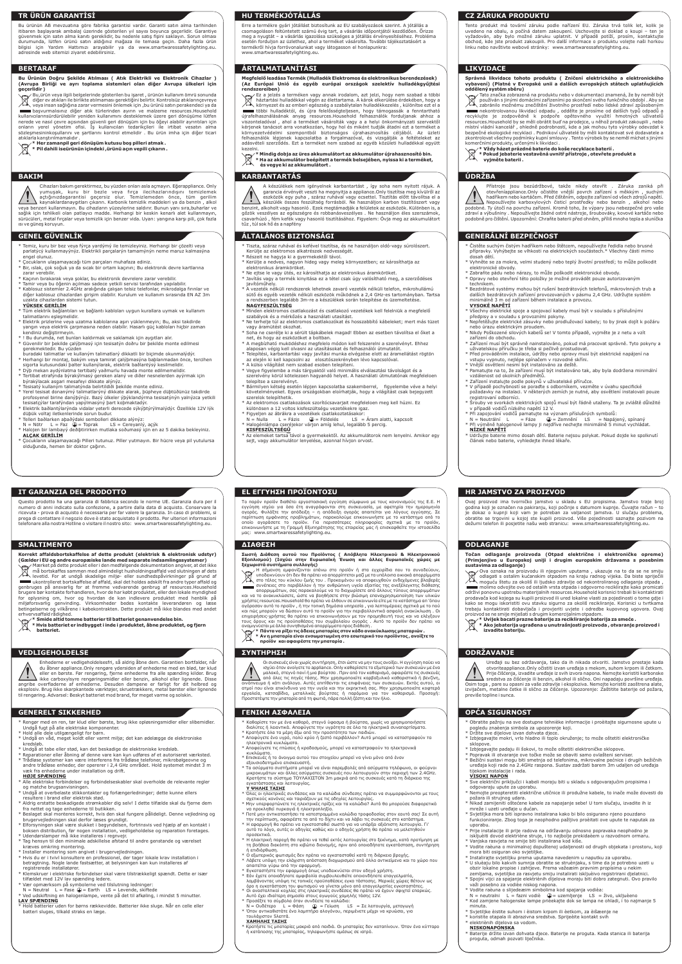# **TR ÜRÜN GARANTİSİ**

# **IT GARANZIA DEL PRODOTTO**

# **HU TERMÉKJÓTÁLLÁS**

# **EL ΕΓΓΥΗΣΗ ΠΡΟΪΟΝΤΟΣU HR JAMSTVO ZA PROIZVOD**

# **CZ ZÁRUKA PRODUKTU**

# **BERTARAF**

# **SMALTIMENTO**

# **ÁRTALMATLANÍTÁSI**

## **ΔΙΑΘΕΣΗ ODLAGANJE**

Σωστή Διάθεση αυτού του Προϊόντος ( Απόβλητα Ηλεκτρικού & Ηλεκτρονικού (Εχαλαματά συστήματα συλλογής)<br>Εξαλαματά συστήματα συλλογής)<br>Σεχωριστά συστήματα συλλογής)<br>Σεχωριστά συστήματα συλλογής)<br>Με τη προϊόν του περινές του και να το ανακυκλώσετε, ώστε να βοηθήσετε στην βιώσιμη επαναχρησιμοποίηση των υλικών χρήστες resources. Household θα πρέπει να έλθουν σε επικοινωνία είτε με το κατάστημα απ 'όπου<br>αγόρασαν αυτό το προϊόν , ή την τοπική δημόσια υπηρεσία, για λεπτομέρειες σχετικά με το πού<br>και πώς μπορούν να δώσουν αυτό το π

# **LIKVIDACE**

# **BAKIM**

# **VEDLIGEHOLDELSE**

# **KARBANTARTÁS**

# **ΣΥΝΤΗΡΗΣΗ ODRŽAVANJE**

Οι συσκευές είναι χωρίς συντήρηση, έτσι ώστε να μην τους ανοίξει. Η εγγύηση παύει να<br>ισχύει όταν ανοίγετε το appliance. Οnly καθαρίσετε το εξωτερικό των συσκευών με ένα<br>μαλακό, στεγνό πανί ή μια βούρτσα . Πριν από τον καθ από όλες τις πηγές τάσης. Μην χρησιμοποιείτε καρβοξυλικό καθαριστικά ή βενζίνη, οινόπνευμα ή κάτι ανάλογο. Αυτές επιτίθενται τις επιφάνειες των συσκευών. Εκτός αυτού, οι ατμοί που είναι επικίνδυνα για την υγεία και την εκρηκτική σας. Μην χρησιμοποιείτε κοφτερά<br>εργαλεία, κατσαβίδια, μεταλλικές βούρτσες ή παρόμοια για τον καθαρισμό. Προσοχή:<br>Προστατέψτε την μπαταρία από τη φωτιά, π

Bu ürünün AB mevzuatına göre fabrika garantisi vardır. Garanti satın alma tarihinden<br>itibaren başlayarak ambalaj üzerinde gösterilen yıl sayısı boyunca geçerlidir. Garantiye<br>güvenmek için satın alma kanıtı gereklidir, bu n durumunda, lütfen ürünü satın aldığınız mağaza ile temasa geçin. Daha fazla ürün bilgisi için Yardım Hattımızı arayabilir ya da www.smartwaressafetylighting.eu. adresinde web sitemizi ziyaret edebilirsiniz.

Erre a termékre gyári jótállást biztosítunk az EU szabályozások szerint. A jótállás a<br>csomagoláson feltüntetett számú évig tart, a vásárlás időpontjától kezdődően. Őrizze<br>meg a nyugtát – a vásárlás igazolása szükséges a jó termékről hívja forróvonalunkat vagy látogasson el honlapunkra: www.smartwaressafetylighting.eu.

Questo prodotto ha una garanzia di fabbrica secondo le norme UE. Garanzia dura per il numero di anni indicato sulla confezione, a partire dalla data di acquisto. Conservare la ricevuta - prova di acquisto è necessaria per far valere la garanzia. In caso di problemi, si prega di contattare il negozio dove è stato acquistato il prodotto. Per ulteriori informazioni telefonare alla nostra Hotline o visitare il nostro sito: www.smartwaressafetylighting.eu.

Το παρόν προϊόν διαθέτει εργοστασιακή εγγύηση σύμφωνα με τους κανονισμούς της Ε.Ε. Η<br>εγγύηση ισχύει για όσα έτη αναγράφονται στη συσκευασία, με αφετηρία την ημερομηνία<br>αγοράς. Φυλάξτε την απόδειξη – η απόδειξη αγοράς απαι μας: www.smartwaressafetylighting.eu.

Tento produkt má tovární záruku podle nařízení EU. Záruka trvá tolik let, kolik je<br>uvedeno na obalu, a počíná datem zakoupení. Uschovejte si doklad o koupi – ten je<br>vyžadován, aby bylo možné záruku uplatnit. V případě potí obchod, kde jste produkt zakoupili. Pro další informace o produktu volejte naši horkou linku nebo navštivte webové stránky: www.smartwaressafetylighting.eu.

Bu,ürün veya ilgili belgelerinde gösterilen bu işaret , ürünün kullanım ömrü sonunda diğer ev atıkları ile birlikte atılmaması gerektiğini belirtir. Kontrolsüz atıklarınçevreye veya insan sağlığına zarar vermesini önlemek için ,bu ürünü satın perakendeci ya da başvurmalısınız diğer atık türlerinden ayırın ve malzeme resources.Household<br>kullanıcılarınsürdürülebilir yeniden kullanımını desteklemek üzere geri dönüşüme lütfen<br>nerede ve nasıl çevre açısından güvenli geri dönüşüm için

sözleşmesininkoşullarını ve şartlarını kontrol etmelidir . Bu ürün imha için diğer ticari atıklarla karıştırılmamalıdır .<br>- Her zamanpil geri dönüşüm kutusu boş pilleri atmak .<br>- Pil dahili iseürünün içindeki ,ürünü açın vepili çıkarın .

Korrekt affaldsbortskaffelse af dette produkt (elektrisk & elektronisk udstyr)<br>(Gælder i EU og andre europæiske lande med separate indsamlingssystemer)<br>Gær Mærket på dette produkt eller i den medfølgende dokumentation ang  $\boxtimes$ levetid. For at undgå skadelige miljø- eller sundhedspåvirkninger på grund af ukontrolleret bortskaffelse af affald, skal det holdes adskilt fra andre typer affald og

Ovaj proizvod ima tvorničko jamstvo u skladu s EU propisima. Jamstvo traje broj godina koji je označen na pakiranju, koji počinje s datumom kupnje. Čuvajte račun – to je dokaz o kupnji koji vam je potreban za valjanost jamstva. U slučaju problema,<br>obratite se trgovini u kojoj ste kupili proizvod. Više pojedinosti saznajte pozivom na dežurni telefon ili posjetite našu web stranicu: www.smartwaressafetylighting.eu.

Ez a jelzés a terméken vagy annak irodalom, azt jelzi, hogy nem szabad a többi  $\widehat{\boxtimes}$ háztartási hulladékkal végén az élettartama. A károk elkerülése érdekében, hogy a / └ ®、környezet és az emberi egészség a szabálytalan hulladékkezelés , különítse ezt el a<br>■ többi hulladéktól, és újra felelősségteljesen, hogy támogassák a fenntartható<br>újrafelhasználásának anyag resources. kérjenek tanácsot arra vonatkozóan, hogy hol és miként tudják átadni ezt a terméket a környezetvédelmi szempontból biztonságos újrahasznositás céljából. Az űzleti<br>felhasználók lépjenek kapcsolatba a forgalmazóval, és vizsgálják a feltételeket az<br>adásvételi-szerződés. Ezt-a-terméket-nem-szabad-az-egyéb-közül

**Bu Ürünün Doğru Şekilde Atılması ( Atık Elektrikli ve Elektronik Cihazlar ) (Avrupa Birliği ve ayrı toplama sistemleri olan diğer Avrupa ülkeleri için geçerlidir )**

> kezelni.<br>\*\*\* **\* Mindig dobja az üres akkumulátort az akkumulátor újrahasznosító bin. \* Ha az akkumulátor beépített a termék belsejében, nyissa ki a terméket, és vegye ki az akkumulátort .**

genbruges på ansvarlig for at fremme vedvarende genbrug af resources.Household brugere bør kontakte forhandleren, hvor de har købt produktet, eller den lokale myndighed for oplysning om, hvor og hvordan de kan indlevere produktet med henblik på miljøforsvarlig genvinding. Virksomheder bedes kontakte leverandøren og læse betingelserne og vilkårene i købekontrakten. Dette produkt må ikke blandes med andet erhvervsaffald rådighed.

- **\* Pokud jebaterie vestavěná uvnitř přístroje , otevřete produkt a vyjměte baterii .**
- **ÚDRŽBA**

# Přístroje jsou bezúdržbové, takže nikdy otevřít . Záruka zaniká při<br>otevřeníappliance.Only očistěte vnější povrch zařízení s měkkým , suchým<br>hadříkemnebokartáčem.Před čištěním,odpojte zařízení od všech zdrojů napětí. Nepoužívejte karboxylových čisticí prostředky nebo benzín , alkohol nebo podobné. Ty útočí na povrchu zařízení. Kromě toho, že výpary jsou nebezpečné pro vaše<br>zdraví a výbušniny . Nepoužívejte žádné ostré nástroje, šroubováky, kovové kartáče nebo<br>podobně pro čištění. Upozornění: Chraňte baterii

**\* Smide altid tomme batterier til batteriet genanvendelse bin. \* Hvis batteriet er indbygget i inde i produktet, åbne produktet, og fjern** 

**batteriet.**

### **Megfelelő leadása Termék (Hulladék Elektromos és elektronikus berendezések) (Az Európai Unió és egyéb európai országok szelektív hulladékgyűjtési rendszereiben)**

- Temiz, kuru bir bez veya fýrça yardýmý ile temizleyiniz. Herhangi bir çözelti veya parlatýcý kullanmayýnýz. Elektrikli parçalarýn tamamýnýn neme maruz kalmasýna ngel olunuz.
- ...<sub>...</sub>..............<br>Çocukların ulaşamayacağı tüm parçaları muhafaza ediniz
- \* Bir, ıslak, çok soğuk ya da sıcak bir ortam kaçının; Bu elektronik devre kartlarına
- zarar verebilir. \* Kaçının bırakarak veya şoklar, bu elektronik devrelere zarar verebilir.
- 
- \* Tamir veya bu öğenin açılması sadece yetkili servisi tarafından yapılabilir. \* Kablosuz sistemler 2.4GHz aralığında çalışan telsiz telefonlar, mikrodalga fırınlar ve diğer kablosuz cihazlardan girişim olabilir. Kurulum ve kullanım sırasında EN AZ 3m uzakta cihazlardan sistemi tutun. **YÜKSEK GERİLİM**
- 
- \* <u>\* \* \* \* \* \* \* \* \* \* \* \* \* \* \* \* \* \*</u><br>Füm elektrik bağlantıları ve bağlantı kabloları uygun kurallara uymak ve kullanım talimatlarını eşleşmelidir.
- \* Elektrik prizlerine veya uzatma kablolarına aşırı yüklenmeyin; Bu, aksi takdirde yangın veya elektrik çarpmasına neden olabilir. Hasarlı güç kabloları hiçbir zaman kendiniz değiştirmeyin.
- \* ! Bu durumda, net bunları kaldırmak ve saklamak için aygıtları alır. \* Güvenilir bir þekilde çalýþmasý için tesisatýn doðru bir þekilde monte edilmesi
- 
- gerekmektedir. Bu yüzden<br>buradaki talimatlar ve kullaným talimatlarý dikkatli bir biçimde okunmalýdýr.<br>\* Herhangi bir montaj, bakým veya tamirat çalýþmasýna baþlanmadan önce, tercihen<br>sigorta kutusundaki þalter kullanýlara
- \* Dýþ mekan aydýnlatma tertibatý yaðmurlu havada monte edilmemelidir.<br>\* Tertibat etrafýnda býrakýlmasý gereken alaný ve diðer nesnelerden ayýrmak için<br>býrakýlacak asgari mesafeyi dikkate alýnýz.<br>\* Tesisatý kullaným talimat
- 
- 
- \* Yerel tesisat donanýmý talimatlarýný dikkate alarak, þüpheye düþtüðünüz takdirde profosyenel birine danýþýnýz. Bazý ülkeler ýþýklandýrma tesisatýnýn yalnýzca yetkili tesisatçýlar tarafýndan yapýlmasýný þart koþmaktadýr.
- \* Elektrik baðlantýlarýnda vidalar yeterli derecede sýkýþtýrýlmalýdýr. Özellikle 12V lýk
- düþük voltaj iletkenlerinde sorun budur. \* Telleri baðlarken aþaðýdaki sembolleri dikkate alýnýz:
- N = Nötr L = Faz (<del>↓</del>) = Toprak LS = Cereyanlý, açýk<br>\* Halojen bir lambayý deðiþtirirken mutlaka soðumasý için en az 5 dakika bekleyiniz.
- **ALÇAK GERİLİM** \* Çocukların ulaşamayacağı Pilleri tutunuz. Piller yutmayın. Bir hücre veya pil yutulursa olduğunda, hemen bir doktor çağırın.

- Alle elektriske forbindelser og forbindelseskabler skal overholde de relevante regler og matche brugsanvisningen.
- \* Undgå at overbelaste stikkontakter og forlængerledninger; dette kunne ellers
- resultere i brand eller elektrisk stød. \* Aldrig erstatte beskadigede strømkabler dig selv! I dette tilfælde skal du fjerne dem fra nettet og tage enhederne til butikken.
- \* Beslaget skal monteres korrekt, hvis den skal fungere pålideligt. Denne vejledning og
- brugervejledningen skal derfor læses grundigt. \* Elforsyningen skal være slukket i begyndelsen, fortrinsvis ved hjælp af en kontakt i boksen distribution, før nogen installation, vedligeholdelse og reparation foretages.
- \* Udendørslamper må ikke installeres i regnvejr.
- \* Tag hensyn til den minimale adskillelse afstand til andre genstande og værelset kræves omkring montering.
- Installer montering som angivet i brugervejle
- \* Hvis du er i tvivl konsultere en professionel, der tager lokale krav installation i betragtning. Nogle lande fastsætter, at belysningen kan kun installeres af registrerede installatører.
- \* Klemskruer i elektriske forbindelser skal være tilstrækkeligt spændt. Dette er især
- tilfældet med 12V lav spænding ledere. \* Vær opmærksom på symbolerne ved tilslutning ledninger:
- $N =$  Neutral L = Fase  $\bigoplus$  = Earth LS = Levende, skiftede
- \* Ved udskiftning en halogenlampe, vente på det til afkøling, i mindst 5 minutter.

<u>\* var en rekkense.</u><br>Khold batterier uden for børns rækkevidde. Batterier ikke sluge. Når en celle eller batteri sluges, tilkald straks en læge.

**Točan odlaganje proizvoda (Otpad električne i elektroničke opreme) (Primjenjivo u Europskoj uniji i drugim europskim državama s posebnim sustavima za odlaganje)** Ova oznaka na proizvodu ili njegovim uputama , ukazuje na to da se ne smiju

 $\begin{array}{ll}\n\boxtimes\end{array}$  odlagati s ostalim kućanskim otpadom na kraju radnog vijeka. Da biste spriječili<br>moguću štetu za okoliš ili ljudsko zdravlje od nekontroliranog odlaganja otpada<br>molimo odvojite ovo od ostalih vrsta otpa prodavača kod kojega su kupili proizvod ili ured lokalne vlasti za pojedinosti o tome gdje i kako se mogu iskoristiti ovu stavku sigurno za okoliš recikliranje. Korisnici u tvrtkama<br>trebaju kontaktirati dobavljača i provjeriti uvjete i odredbe kupovnog ugovora. Ovaj<br>proizvodsenesmijemiješatisdrugimkomercijalnimotp

- Tiszta, száraz ruhával és kefével tisztítsa, és ne használjon oldó-vagy súrolószert. Kerülje az elektromos alkatrészek nedvességét.
- \* Részeit ne hagyja ki a gyermekektől távol. \* Kerülje a nedves, nagyon hideg vagy meleg környezetben; ez károsíthatja az
- elektronikus áramköröket.
- \* Ne ejtse le vagy ütés, ez károsíthatja az elektronikus áramköröket. \* Javítás vagy a termék kinyitása ez a tétel csak úgy valósítható meg, a szerződéses
	-
- javítóműhely. \* A vezeték nélküli rendszerek lehetnek zavaró vezeték nélküli telefon, mikrohullámú sütő és egyéb vezeték nélküli eszközök működnek a 2,4 GHz-es tartományban. Tartsa a rendszerben legalább 3m-re a készülékek során telepítése és üzemeltetése. **NAGYFESZÜLTSÉG**
- \* Minden elektromos csatlakozást és csatlakozó vezetékek kell felelniük a megfele szabályok és a mérkőzés a használati utasítást.
- \* Ne terhelje túl az elektromos csatlakozókat és hosszabbító kábeleket; mert más tüzet vagy áramütést okozhat.<br>Tagy áramütést okozhat.
- agy alamatése skesnat.<br>Soha ne cserélje ki a sérült tápkábelek magad! Ebben az esetben távolítsa el őket a net, és hogy az eszközöket a boltban.
- 
- \* A megbízható muködéshez megfelelo módon kell felszerelni a szerelvényt. Ehhez<br>alaposan végig kell olvasni az utasításokat és felhasználói útmutatót.<br>\* Telepítési, karbantartási vagy javítási munka elvégzése elott az áram
- 
- \* Vegye figyelembe a más tárgyaktól való minimális elválasztási távolságot és a szerelvény körül kötelezoen hagyandó helyet. A használati útmutatónak megfeleloen telepítse a szerelvényt.
- \* Bármilyen kétség esetén lépjen kapcsolatba szakemberrel, figyelembe véve a helyi követelményeket. Egyes országokban eloírhatják, hogy a világítást csak bejegyzett szerelok telepíthetik.
- \* Az elektromos csatlakozások szorítócsavarjait megfeleloen meg kell húzni. Ez különösen a 12 voltos kisfeszültségu vezetékekre igaz.
- 
- \* Figyeljen az ábrákra a vezetékek csatlakoztatásakor: N = Nulla L = Fázis = Földelés LS = Áram alatti, kapcsolt \* Halogénlámpa cseréjekor várjon amíg lehul, legalább 5 percig. **KISFESZÜLTSÉGŰ**
	-
	- \* Az elemeket tartsa távol a gyermekektől. Az akkumulátorok nem lenyelni. Amikor egy sejt, vagy akkumulátor lenyelése, azonnal hívjon orvost.

Καθαρίστε τον με ένα καθαρό, στεγνό ύφασμα ή βούρτσα, χωρίς να χρησιμοποιήσετε διαλύτες ή λειαντικά. Αποφύγετε την υγρότητα σε όλα τα ηλεκτρικά συναπαρτίσματα. **\* Uvijek bacati prazne baterije za recikliranje baterija za smeće .**

**\* Ako jebaterija ugrađena u unutrašnjosti proizvoda , otvaranje proizvod i** 

**izvadite bateriju.**

- 
- \* Κρατήστε όλα τα μέρη έξω από την προσιτότητα των παιδιών.<br>\* Αποφύγετε ένα υγρό, πολύ κρύο ή ζεστό περιβάλλον? Αυτό μπορεί να καταστραφούν τα<br>- ηλεκτρονικά κυκλώματα.<br>\* Αποφεύγετε τις πτώσεις ή κραδασμούς, μπορεί να κατα
- 
- κυκλώματα. \* Επισκευές ή το άνοιγμα αυτού του στοιχείου μπορεί να γίνει μόνο από έναν
- εξουσιοδοτημένο επισκευαστή. \* Τα ασύρματα συστήματα μπορεί να είναι παρεμβολές από ασύρματα τηλέφωνα, οι φούρνοι μικροκυμάτων και άλλες ασύρματες συσκευές που λειτουργούν στην περιοχή των 2.4GHz. Κρατήστε το σύστημα ΤΟΥΛΑΧΙΣΤΟΝ 3m μακριά από τις συσκευές κατά τη διάρκεια της εγκατάστασης και λειτουργίας.

**Správná likvidace tohoto produktu ( Zničení elektrického a elektronického vybavení) (Platné v Evropské unii a dalších evropských státech uplatňujících oddělený systém sběru)**

ره المسوء المسلحين المسلحين المسلحين المسلحين المسلحين المسلحين المسلحين المسلحين المسلحين المسلحين المسلحين ا<br>Tato značka zobrazená na produktu nebo v dokumentaci znamená, že by neměl být<br>Tato neužíván s jinými dománími používán s jinými domácími zařízeními po skončení svého funkčního období . Aby se ⚠ zabránilo možnému znečištění životního prostředí nebo lidské zdraví způsober och inekontrolovanou likvidaci odpadu , oddělte je prosime od dalších typů odpadů a سعود emergyklujte inekontr<br>recyklujte je zodpovědně k podpoře opětovného využití hmotných uživatelů<br>resources.Household by se měli místní vládní kancelář , ohledně podrobností, kde a jak mohou tyto výrobky odevzdat k<br>bezpečné ekologické recyklaci . Podníkoví uživatelé by měli kontaktovat své dodavatele a<br>zkontrolovat všechny podmínky kupní smlouvy .

- <u>Υ ΨΗΛΗΣ ΤΑΣΗΣ</u><br>\* Όλες οι ηλεκτρικές συνδέσεις και τα καλώδια σύνδεσης πρέπει να συμμορφώνονται με τους<br>- σχετικούς κανόνες και ταιριάζουν με τις οδηγίες λειτουργίας.<br>\* Μην υπερφορτώνετε τις ηλεκτρικές πρίζες και τα καλ
- να προκληθεί πυρκαγιά ή ηλεκτροπληξία.
- \* Ποτέ μην αντικαταστήσει τα κατεστραμμένα καλώδια τροφοδοσίας στον εαυτό σας! Σε αυτή την περίπτωση, αφαιρέστε τα από το δίχτυ και να λάβει τις συσκευές στο κατάστημα.
- \* Η εφαρμογή θα πρέπει να εγκατασταθεί σωστά για να υπάρξει αξιόπιστη λειτουργία. Γι' αυτό το λόγο, αυτές οι οδηγίες καθώς και ο οδηγός χρήστη θα πρέπει να μελετηθούν
- προσεκτικά. \* Η ηλεκτρική παροχή θα πρέπει να τεθεί εκτός λειτουργίας στο ξεκίνημα, κατά προτίμηση με τη βοήθεια διακόπτη στο κιβώτιο διανομής, πριν από οποιαδήποτε εγκατάσταση, συντήρηση ή επιδιόρθωση.
- ., εποτερεωστ.<br>Ο εξωτερικός φωτισμός δεν πρέπει να εγκατασταθεί κατά τη διάρκεια βροχής.
- \* Λάβετε υπόψη την ελάχιστη απόσταση διαχωρισμού από άλλα αντικείμενα και το χώρο που απαιτείται γύρω από την εφαρμογή.
- \* Εγκαταστήστε την εφαρμογή όπως υποδεικνύεται στον οδηγό χρήστη.<br>\* Εάν έχετε οποιαδήποτε αμφιβολία συμβουλευθείτε οποιονδήποτε επαγγελματία
- \* Εάν έχετε οποιαδήποτε αμφιβολία συμβουλευθείτε οποιονδήποτε επαγγελματία,<br>- λαμβάνοντας υπόψη τις τοπικές προϋποθέσεις εγκα τάστασης. Μερικές χώρες θέτουν ως<br>- όρο η εγκατάσταση του φωτισμού να γίνεται μόνο από επαγγελμ
- 
- 
- N = Ουδέτερο L = Φάση = Γείωση LS = Σε λειτουργία, μεταγωγή \* Όταν αντικαθιστάτε ένα λαμπτήρα αλογόνου, περιμένετε μέχρι να κρυώσει, για
- τουλάχιστον 5λεπτά.

\* \* \* \* \* \* \* \* Κρατάστε τις μπαταρίες δεν καταπίνουν. Όταν ένα κύτταρο<br>Γεννίες μακριά από παιδιά. Οι μπαταρίες δεν καταπίνουν. Όταν ένα κύτταρο ή κατάποσης της μπαταρίας, τηλεφωνήστε αμέσως σε ιατρό.

- 
- 

- \* Sve električni priključci i kabeli moraju biti u skladu s odgovarajućim propis odgovaraju upute za uporabu.
- \* Nemojte preopteretiti električne utičnice ili produžne kabele, to inače može dovesti do
- požara ili strujnog udara. \* Nikad zamijeniti oštećene kabele za napajanje sebe! U tom slučaju, izvadite ih iz mreže i uzeti uređaje u dućan.
- \* Svjetiljka mora biti ispravno instalirana kako bi bilo osigurano njeno pouzdano funkcioniranje. Zbog toga je neophodno pažljivo proèitati ove upute te naputak za uporabu.
- .<br>Prije instalacije ili prije radova na održavanju odnosno popravaka neophodno je iskljuèiti dovod elektriène struje, i to najbolje prekidaèem u razvodnom ormaru.
- Vanjska rasvjeta ne smije biti instalirana kod kiše.
- \* Vodite raèuna o minimalnoj dopuštenoj udaljenosti od drugih objekata i prostoru, koji mora biti osiguran oko svjetiljke.
- Instalirajte svjetiljku prema uputama navedenim u naputku za uporabu.
- \* U sluèaju bilo kakvih sumnja obratite se struènjaku, s time da je potrebno uzeti u obzir lokalne propise i zahtjeve. Prema važeæim pravnim propisima u nekim
- zemljama, svjetiljke za rasvjetu smiju instalirati iskljuèivo registrirani djelatnici. \* Spojni vijci za spajanje elektriènih dijelova moraju biti dobro zategnuti. Ovo pravilo važi posebno za vodièe niskog napona.
- \* Vodite raèuna o slijedeæim simbolima kod spajanja vodièa:
- 
- N = neutralni L = fazni vodiè (₩= uzemljenje LS = živo, ukljuèeno<br>\* Kod zamjene halogenske lampe prièekajte dok se lampa ne ohladi, i to najmanje 5 minuta.
- \* Svjetiljke èistite suhom i èistom krpom ili èetkom, za èišæenje ne
- \* koristite otapala ili abrazivna sredstva. Sprijeèite kontakt svih \* elektriènih dijelova sa vodom. **NISKONAPONSKA**
- 

Baterije držite izvan dohvata djece. Baterije ne proguta. Kada stanica ili baterija proguta, odmah pozvati liječnika.

- $\cdot$  Čistěte suchým čistým hadříkem nebo štětcem, nepoužívejte ředidla nebo brusné přípravky. Vyhýbejte se vlhkosti na elektrických součástech.\* Všechny části mimo dosah dětí.
- Vyhněte se za mokra, velmi studený nebo teplý životní prostředí; to může poškodit elektronické obvody.
- \* Zabraňte pádu nebo nárazy, to může poškodit elektronické obvody. Opravy nebo otevření této položky je možné provádět pouze autorizovaným
- technikem. \* Bezdrátové systémy mohou být rušení bezdrátových telefonů, mikrovlnných trub a dalších bezdrátových zařízení provozovaných v pásmu 2,4 GHz. Udržujte systém minimálně 3 m od zařízení během instalace a provozu.
- **VYSOKÉ NAPĚTÍ**

Vnější osvětlení nesmí být instalováno za deště. \* Pamatujte na to, že zařízení musí být instalováno tak, aby byla dodržena minimální

\* Rengør med en ren, tør klud eller børste, brug ikke opløsningsmidler eller slibemidler.

Cihazları bakım gerektirmez, bu yüzden onları asla açmayın. Eğerappliance. Only<br>yumuşak, kuru bir bezle veya fırça ilecihazlarındışını temizlemek<br>açtığınızdagarantisi geçersiz olur. Temi wan Alaynaklardanaygıtları çıkarın. Karbonik temizlik maddeleri ya da benzin , alkol<br>veya benzeri kullanmayın. Bu cihazların yüzeylerine saldırır. Bunun yanı sıra,buharlar ve<br>sağlık için tehlikeli olan patlayıcı madde. Her ısı ve güneş koruyun.

- 
- 
- Undgå fugt på alle elektriske komponenter. \* Hold alle dele utilgængeligt for børn. \* Undgå en våd, meget koldt eller varmt miljø; det kan ødelægge de elektroniske kredsløb.
- \* Undgå at tabe eller stød, kan det beskadige de elektroniske kredsløb.
- 
- \* Reparationer eller åbning af denne vare kan kun udføres af et autoriseret værksted. \* Trådløse systemer kan være interferens fra trådløse telefoner, mikrobølgeovne og andre trådløse enheder, der opererer i 2,4 GHz området. Hold systemet mindst 3 m væk fra enhederne under installation og drift.

## **HØJE SPÆNDING**

Uređaji su bez održavanja, tako da ih nikada otvoriti. Jamstvo prestaje kada otvoriteappliance.Only očistiti izvan uređaja s mekom, suhom krpom ili četkom. Prije čišćenja, izvadite uređaje iz svih izvora napona. Nemojte koristiti karbonske sredstva za čišćenje ili benzin, alkohol ili slično. Oni napadaju površine uređaja. Osim toga , pare su opasni za vaše zdravlje i eksploziva. Nemojte koristiti zaoštrena alate,<br>izvijačem, metalne četke ili slično za čišćenje. Upozorenje: Zaštitite baterije od požara,

### **LAV SPÆNDING**

### **ΧΑΜΗΛΗΣ ΤΑΣΗΣ**

\* Obratite pažnju na sve dostupne tehnièke informacije i proèitajte sigurnosne upute u

- 
- 
- \* Izbjegavajte padaju ili šokovi, to može oštetiti elektroničke sklopove.<br>\* Popravak ili otvaranje ove točke može se obaviti samo ovlašteni serviser.<br>\* Bežični sustavi mogu biti smetnja od telefonima, mikrovalne pećnice i uređaja koji rade na 2.4GHz raspona. Sustav zadržati barem 3m udaljen od uređaja tijekom instalacije i rada.

pogledu znaèenja simbola za upozorenje koji. \* Držite sve dijelove izvan dohvata djece. \* Izbjegavajte mokri, vrlo hladno ili toplo okruženje; to može oštetiti elektroničke sklopove.

### **VISOKI NAPON**

- \* Všechny elektrické spoje a spojovací kabely musí být v souladu s příslušnými předpisy a v souladu s provozními pokyny. \* Nepřetěžujte elektrické zásuvky nebo prodlužovací kabely; to by jinak dojít k požáru
- nebo úrazu elektrickým proudem. \* Nikdy Poškozené silových kabelů se! V tomto případě, vyjměte je z netu a vzít
- zařízení do obchodu. \* Zařízení musí být správně nainstalováno, pokud má pracovat správně. Tyto pokyny a
- uživatelskou příručku je třeba si pečlivě prostudovat. \* Před prováděním instalace, údržby nebo opravy musí být elektrické napájení na vstupu vypnuto, nejlépe spínačem v rozvodné skříni.

vzdálenost od okolních předmětů. \* Zařízení instalujte podle pokynů v uživatelské příručce.

\* V případě pochybností se poraďte s odborníkem, vezměte v úvahu specifické požadavky na instalaci. V některých zemích je nutné, aby osvětlení instalovali pouze

registrovaní odborníci.

\* Šrouby ve svorkách elektrických spojů musí být řádně utaženy. Ta je zvláště důležité

<u>\* III. II. ETITE</u><br>Udržujte baterie mimo dosah dětí. Baterie nejsou polykat. Pokud dojde ke spolknutí

v případě vodičů nízkého napětí 12 V.

\* Při zapojování vodičů pamatujte na význam příslušných symbolů: N = Neutrální L = Fáze = Zemnění LS = Napájený, spínaný \* Při výměně halogenové lampy ji nejdříve nechejte minimálně 5 minut vychládat.

**NÍZKÉ NAPĚTÍ**

článek nebo baterie, vyhledejte ihned lékaře.

Enhederne er vedligeholdelsesfri, så aldrig åbne dem. Garantien bortfalder, når du åbner appliance.Only rengøre ydersiden af enhederne med en blød, tør klud eller en børste. Før rengøring, fjerne enhederne fra alle spænding kilder. Brug<br>angribe overfladerne af enhederne. Desuden danner er brand, alkohol eller lignende. Disse<br>angribe overfladerne af enhederne. Desuden dampene e til rengøring. Advarsel: Beskyt batteriet mod brand, for meget varme og solskin.

A készülékek nem igényelnek karbantartást , így soha nem nyitott rájuk. A garancia érvényét veszti ha megnyitja a appliance.Only tisztítsa meg kívülről az

eszközök egy puha , száraz ruhával vagy ecsettel. Tisztítás előtt távolítsa el a készülék összes feszültség forrásból. Ne használjon karbon tisztítószert vagy benzint, alkoholt vagy hasonló . Ezek megtámadják a felületek az eszközök. Különben is, a<br>gőzök veszélyes az egészségre és robbanásveszélyes . Ne használjon éles szerszámok,<br>csavarhúzó , fém kefék vagy hasonló tisz tűz , túl sok hő és a napfény

previše topline i sunca.

# **GENEL GÜVENLİK**

# **GENERELT SIKKERHED**

## **ÁLTALÁNOS BIZTONSÁGI**

# **ΓΕΝΙΚΗ ΑΣΦΑΛΕΙΑ OPĆA SIGURNOST**

# **GENERÁLNÍ BEZPEČNOST**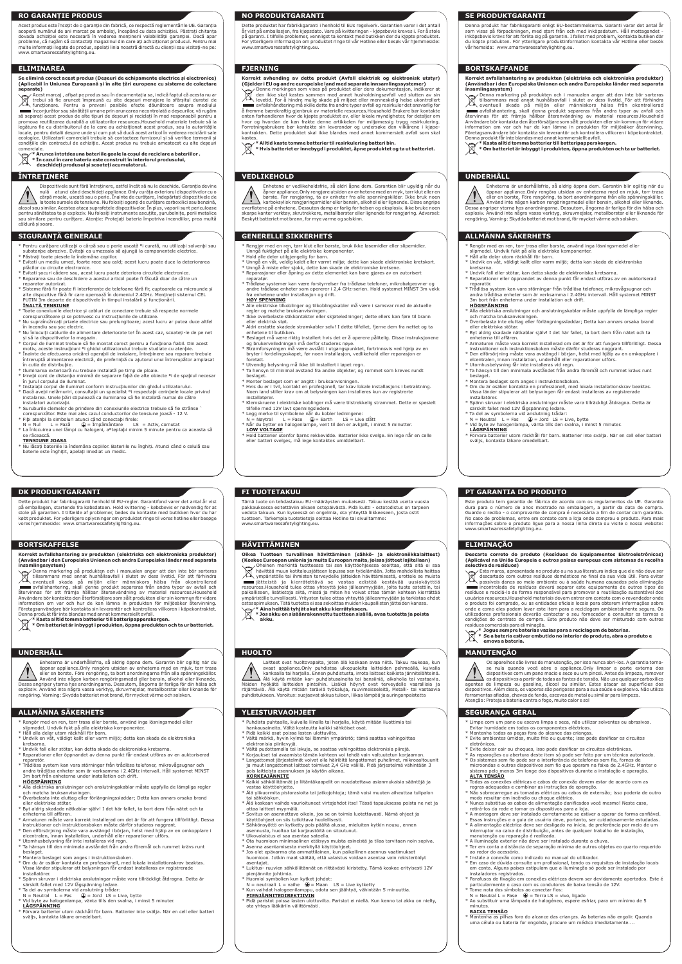# **RO GARANȚIE PRODUS**

# **ELIMINAREA**

# **ÎNTREȚINERE**

Acest produs este însoțit de o garanție din fabrică, ce respectă reglementările UE. Garanția acoperă numărul de ani marcat pe ambalaj, începând cu data achiziției. Păstrați chitanța dovada achiziției este necesară în vederea menținerii valabilității garanției. Dacă apar probleme, că rugăm să contactați magazinul din care ați achiziționat produsul. Pentru mai multe informații legate de produs, apelați linia noastră directă cu clienții sau vizitați-ne pe: www.smartwaressafetylighting.eu.

**Se elimină corect acest produs (Deșeuri de echipamente electrice și electronice) (Aplicabil în Uniunea Europeană și în alte țări europene cu sisteme de colectare separate)**

Acest marcaj , afișat pe produs sau în documentația sa, indică faptul că acesta nu ar<br>trebui să fie aruncat împreună cu alte deșeuri menajere la sfârșitul duratei de<br>funcționare. Pentru a preveni posibile să separați acest produs de alte tipuri de deșeuri și reciclați în mod responsabil pentru a promova reutilizarea durabilă a utilizatorilor resources.Household materiale trebuie să ia legătura fie cu distribuitorul de la care au achiziționat acest produs, sau la autoritățile locale, pentru detalii despre unde și cum pot să ducă acest articol în vederea reciclării sale

ecologice. Utilizatorii comerciali trebuie să contacteze furnizorul și să verifice termenii și condițiile din contractul de achiziție. Acest produs nu trebuie amestecat cu alte deșeuri comerciale. **\* Arunca întotdeauna bateriile goale la coșul de reciclare a bateriilor .**

**\* În cazul în care bateria este construit în interiorul produsului, deschideți produsul și scoateți acumulatorul.**

- \* Pentru curãþare utilizaþi o cârpã sau o perie uscatã ºi curatã, nu utilizaþi solvenþi sau substanþe abrazive. Evitaþi ca umezeala sã ajungã la componentele electrice.
- \* Păstrați toate piesele la îndemâna copiilor. \* Evitati un mediu umed, foarte rece sau cald; acest lucru poate duce la deteriorarea
- plăcilor cu circuite electronice. \* Evitati șocuri cădere sau, acest lucru poate deteriora circuitele electronice.
- \* Repararea sau de deschidere a acestui articol poate fi făcută doar de către un
- reparator autorizat. \* Sisteme fără fir poate fi interferențe de telefoane fără fir, cuptoarele cu microunde și alte dispozitive fără fir care operează în domeniul 2.4GHz. Mențineți sistemul CEL PUȚIN 3m departe de dispozitivele în timpul instalării și funcționării. **ÎNALTĂ TENSIUNE**
- **TOATE CONECTATE CONECTATE ELECTATE CONECTATE CONECTATE CONECTATE CONECTATE CONECTATE CONECTATE CONECTATE CONEC**
- corespunzătoare și se potrivesc cu instrucțiunile de utilizare. \* Nu supraîncărcați prizele electrice sau prelungitoare; acest lucru ar putea duce altfel
- în incendiu sau șoc electric. \* Nu înlocuiți cablurile de alimentare deteriorate te! În acest caz, scoateți-le de pe net
- și să ia dispozitivelor la magazin. \* Corpul de iluminat trebuie sã fie montat corect pentru a funcþiona fiabil. Din acest
- motiv, aceste instrucþiuni ºi ghidul utilizatorului trebuie studiate cu atenþie.<br>\* Înainte de efectuarea oricãrei operaþii de instalare, întreþinere sau reparare trebuie<br>^ întreruptã alimentarea electricã, de preferinþã cu În cutia de distribuþie.<br>\* Iluminarea exterioarã nu trebuje instalatã ne timp de ploaie
- 
- \* Iluminarea exterioarã nu trebuie instalatã pe timp de ploaie.<br>\* Þineþi cont de distanþa minimã de separare faþã de alte obiecte ºi de spaþiul necesar<br>· în jurul corpului de iluminat. \* Instalaþi corpul de iluminat conform instrucþiunilor din ghidul utilizatorului.
- \* Dacã aveþi nelãmuriri, consultaþi un specialist ºi respectaþi cerinþele locale privind instalarea. Unele þãri stipuleazã ca iluminarea sã fie instalatã numai de cãtre
- instalatori autorizaþi. \* Suruburile clemelor de prindere din conexiunile electrice trebuie sã fie strânse `
- corespunzãtor. Este mai ales cazul conductorilor de tensiune joasã 12 V. \* Fiþi atenþi la simboluri atunci când conectaþi firele:
- N = Nul → L = Fazã → → Impãmântare → LS = Activ, comutat<br>\* La înlocuirea unei lãmpi cu halogeni, aºteptaþi minim 5 minute pentru ca aceasta sã se rãceascã.
- **TENSIUNE JOASA**
- <u>tiche</u><br>tile la îndemâna copiilor. Bateriile nu înghiți. Atunci când o celulă sau baterie este înghițit, apelați imediat un medic.

**(Gjelder i EU og andre europeiske land med separate innsamlingssystemer)**<br>هي Denne merkingen som vises på produktet eller dens dokumentasjon, indikerer at (<br>If den ikke skal kastes sammen med annet husholdningsavfall ved Y levetid. For å hindre mulig skade på miljøet eller menneskelig helse ukontrollert and a vfallshåndtering må skille dette fra andre typer avfall og resirkuler det ansvarlig for andre typer andr<br>å fremme bærekraftig gjenbruk av materielle resources.Household Brukere bør kontakte<br>enten forhandleren hvor de Forretningsbrukere bør kontakte sin leverandør og undersøke den vilkårene i kjøpekontrakten. Dette produktet skal ikke blandes med annet kommersielt avfall som skal

- Rengjør med en ren, tørr klut eller børste, bruk ikke løsemidler eller slipemidler. Unngå fuktighet på alle elektriske kompo
- 
- \* Hold alle deler utilgjengelig for barn. \* Unngå en våt, veldig kaldt eller varmt miljø; dette kan skade elektroniske kretskort.
- \* Unngå å miste eller sjokk, dette kan skade de elektroniske kretsene.
- \* Reparasjoner eller åpning av dette elementet kan bare gjøres av en autorisert
- reparatør. \* Trådløse systemer kan være forstyrrelser fra trådløse telefoner, mikrobølgeovner og andre trådløse enheter som opererer i 2,4 GHz-serien. Hold systemet MINST 3m vekk fra enhetene under installasjon og drift. **HØY SPENNING**
- \* Alle elektriske tilkoblinger og tilkoblingskabler må være i samsvar med de aktuelle regler og matche bruksanvisningen.
- \* Ikke overbelaste stikkontakter eller skjøteledninger; dette ellers kan føre til brann eller elektrisk støt.
- \* Aldri erstatte skadede strømkabler selv! I dette tilfellet, fjerne dem fra nettet og ta enhetene til butikken.
- \* Beslaget må være riktig installert hvis det er å operere pålitelig. Disse instruksjonene og brukerveiledningen må derfor studeres nøye.<br>\* Strømforsyningen må være avslått i utgangspunktet, fortrinnsvis ved hjelp av en<br>bryter i fordelingsskapet, før noen installasjon, vedlikehold eller reparasjon er
- foretatt. \* Utvendig belysning må ikke bli installert i løpet regn.
- \* Ta hensyn til minimal avstand fra andre objekter, og rommet som kreves rundt beslaget.
- \* Monter beslaget som er angitt i bruksanvisningen.
- \* Hvis du er i tvil, kontakt en profesjonell, tar krav lokale installasjons i betraktning. Noen land stiller krav om at belysningen kan installeres kun av registrerte installatører.
- Klemskruene i elektriske koblinger må være tilstrekkelig strammet. Dette er spesielt tilfelle med 12V lavt spenningsledere.
- 
- 
- \* Legg merke til symbolene når du kobler ledningene:<br>− N = Nøytral − L = Fase − ⊕= Earth − LS = Live slått<br>\* Når du bytter en halogenlampe, vent til den er avkjølt, i minst 5 minutter. **LOW VOLTAGE**
- \* Hold batterier utenfor barns rekkevidde. Batterier ikke svelge. En lege når en celle eller batteri svelges, må lege kontaktes umiddelbart.

Dispozitivele sunt fără întreținere, astfel încât să nu le deschide. Garanția devine nulă atunci când deschideți appliance.Only curăța exteriorul dispozitivelor cu o cârpă moale, uscată sau o perie. Înainte de curățare, îndepărtați dispozitivele de la toate sursele de tensiune. Nu folosiți agenți de curățare carboxilici sau benzină, alcool sau similar. Acestea ataca suprafețele dispozitivelor. In plus, vaporii sunt periculoase<br>pentru sănătatea ta și exploziv. Nu folosiți instrumente ascuțite, șurubelnițe, perii metalice<br>sau similare pentru curățare. A căldură și soare.

# **SIGURANȚĂ GENERALE**

# **NO PRODUKTGARANTI**

# **FJERNING**

# **VEDLIKEHOLD**

Dette produktet har fabrikkgaranti i henhold til EUs regelverk. Garantien varer i det antall år vist på emballasjen, fra kjøpsdato. Vare på kvitteringen - kjøpsbevis kreves i. For å stole på garanti. I tilfelle problemer, vennligst ta kontakt med butikken der du kjøpte produktet. For ytterligere informasjon om produktet ringe til vår Hotline eller besøk vår hjemmeside: www.smartwaressafetylighting.eu.

# **Korrekt avhending av dette produkt (Avfall elektrisk og elektronisk utstyr)**

Denna markering på produkten och i manualen anger att den inte bör sorterasser att den inte bör sorterasser sorterasser sorterasser sorterasser att den inte bör sorterasser sorterasser sorterasser sorterasser sorterasser s tillsammans med annat hushållsavfall i slutet av dess livstid. För att förhindra eventuell skada på miljön eller människors hälsa från okontrollerad an avfallshantering, skall denna produkt separeras från andra typer av avfall och<br>återvinnas för att främja hållbar återanvändning av material resources.Household<br>Användare bör kontaktaden återförsäljare.som.sålt.produkten information om var och hur de kan lämna in produkten för miljösäker återvinning. Företagsanvändare bör kontakta sin leverantör och kontrollera villkoren i köpekontraktet.

Denna produkt får inte blandas med annat kommersiellt avfall.<br>Denna produkt får inte blandas med annat kommersiellt avfall.<br> $\leftarrow$  \* Kasta alltid tomma batterier till batteripapperskorgen

 $\boxtimes$ **\* Kasta alltid tomma batterier till batteripapperskorgen. \* Om batteriet är inbyggt i produkten, öppna produkten och ta ur batteriet.**

# **UNDERHÅLL HUOLTO**

kastes.

**\* Alltid kaste tomme batterier til resirkulering batteri bin. \* Hvis batteriet er innebygd i produktet, åpne produktet og ta ut batteriet.**

Enhetene er vedlikeholdsfrie, så aldri åpne dem. Garantien blir ugyldig når du åpner appliance.Only rengjøre utsiden av enhetene med en myk, tørr klut eller en børste. Før rengjøring, ta av enheter fra alle spenningskilder. Ikke bruk noen karboksylisk rengjøringsmidler eller bensin, alkohol eller lignende. Disse angripe

- Alla elektriska anslutningar och anslutningskablar måste uppfylla de lämpliga regler och matcha bruksanvisningen.
- \* Överbelasta inte eluttag eller förlängningssladdar; Detta kan annars orsaka brand eller elektriska stötar.
- \* Byt aldrig skadade nätkablar själv! I det här fallet, ta bort dem från nätet och ta enheterna till affären.
- \* Armaturen måste vara korrekt installerad om det är för att fungera tillförlitligt. Dessa
- instruktioner och instruktionsboken måste därför studeras noggrant. \* Den elförsörjning måste vara avstängd i början, helst med hjälp av en omkopplare i elcentralen, innan installation, underhåll eller reparationer utförs.
- 
- \* Utomhusbelysning får inte installeras vid regn. \* Ta hänsyn till den minimala avståndet från andra föremål och rummet krävs runt beslaget.
- Montera beslaget som anges i instruktionsboken
- \* Om du är osäker kontakta en professionell, med lokala installationskrav beaktas. Vissa länder stipulerar att belysningen får endast installeras av registrerade installatörer.
- \* Spänn skruvar i elektriska anslutningar måste vara tillräckligt åtdragna. Detta är särskilt fallet med 12V lågspänning ledare.
- \* Ta del av symbolerna vid anslutning trådar:
- $N =$  Neutral L = Fas  $\bigoplus$  = Jord LS = Live, bytte
- $\frac{1}{2}$  vid by a soluting a love, byte available principal logenlampa, vänta tills den svalna, i minst 5 minuter. **LÅGSPÄNNING**
- \* Förvara batterier utom räckhåll för barn. Batterier inte svälja. När en cell eller batteri sväljs, kontakta läkare omedelbart.

overflatene på enhetene. Dessuten damp er farlig for helsen og eksplosiv. ikke bruke noen skarpe kanter verktøy, skrutrekkere, metallbørster eller lignende for rengjøring. Advarsel: Beskytt batteriet mot brann, for mye varme og solskinn.

- \* Kaikki sähköliitännät ja liitäntäkaapelit on noudatettava asianmukaisia sääntöjä ja vastaa käyttöohjetta.
- \* Älä ylikuormita pistorasioita tai jatkojohtoja; tämä voisi muuten aiheuttaa tulipalon
- tai sähköiskun. \* Älä koskaan vaihda vaurioituneet virtajohdot itse! Tässä tapauksessa poista ne net ja ottaa laitteet myymälä.
- \* Sovitus on asennettava oikein, jos se on toimia luotettavasti. Nämä ohjeet ja käyttöohjeet on siis tutkittava huolellisesti.
- \* Sähkönsyöttö on kytketty pois päältä alussa, mieluiten kytkin nousu, ennen asennusta, huoltoa tai korjaustöitä on sitoutunut.
- Ulkovalaistus ei saa asentaa sateella.
- \* Ota huomioon minimaalinen etäisyys muista esineistä ja tilaa tarvitaan noin sopiva. \* Asenna asentamisesta merkityllä käyttöohjeet.
- 
- Jos olet epävarma ota ammattilainen, kun paikallinen asennus vaatimukset huomioon. Jotkin maat säätää, että valaistus voidaan asentaa vain rekisteröidyt asentajat.
- \* Lukitus- ruuvien sähköliitännät on riittävästi kiristetty. Tämä koskee erityisesti 12V pienjännite johtimia.
- \* Huomioi symbolien kun kytket johdot:
- $N =$  neutraali L = vaihe  $\bigoplus$  = Maan LS = Live kytketty
- Kun vaihdat halogeenilamppu, odota sen jäähtyä, vähintään 5 minuuttia

# **GENERELLE SIKKERHETS**

# **SE PRODUKTGARANTI**

# **DK PRODUKTGARANTI FI TUOTETAKUU**

# **BORTSKAFFANDE**

# **BORTSKAFFELSE HÄVITTÄMINEN**

# **UNDERHÅLL**

Denna produkt har fabriksgaranti enligt EU-bestämmelserna. Garanti varar det antal år som visas på förpackningen, med start från och med inköpsdatum. Håll mottagandet - inköpsbevis krävs för att förlita sig på garantin. I fallet med problem, kontakta butiken där du köpte produkten. För ytterligare produktinformation kontakta vår Hotline eller besök vår hemsida: www.smartwaressafetylighting.eu.

<u>– Fidä paristot poissa lasten ulottuvilta</u>. Paristot ei niellä. Kun kenno tai akku on nielty, ota yhteys lääkäriin välittömästi.

Dette produkt har fabriksgaranti henhold til EU-regler. Garantifond varer det antal år vist llagen, startende fra købsdatoen. Hold kvittering - købsbevis er nødvendig for at stole på garantien. I tilfælde af problemer, bedes du kontakte med butikken hvor du har købt produktet. For yderligere oplysninger om produktet ringe til vores hotline eller besøge vores hjemmeside: www.smartwaressafetylighting.eu.

Enheterna är underhållsfria, så aldrig öppna dem. Garantin blir ogiltig när du öppnar appliance.Only rengöra utsidan av enheterna med en mjuk, torr trasa eller en borste. Före rengöring, ta bort anordningarna från alla spänningskällor. Använd inte någon karbon rengöringsmedel eller bensin, alkohol eller liknande.<br>Dessa angriper ytorna hos anordningarna. Dessutom, ångorna är farliga för din hälsa och<br>explosiv. Använd inte några vassa verktyg, skruvmejslar

Tämä tuote on tehdastakuu EU-määräysten mukaisesti. Takuu kestää useita vuosia pakkauksessa esitettäviin alkaen ostopäivästä. Pidä kuitti - ostotodistus on tarpeen vedota takuun. Kun kyseessä on ongelmia, ota yhteyttä liikkeeseen, josta ostit tuotteen. Tarkempia tuotetietoja soittaa Hotline tai sivuiltamme: www.smartwaressafetylighting.eu.

Oikea Tuotteen turvallinen hävittäminen (sähkö- ja elektroniikkalaitteet)<br>(Koskee Euroopan unionia ja muita Euroopan maita, joissa jätteet lajitellaan)<br>(Oheinen merkintä tuotteessa tai sen käyttöohjeessa osoittaa, että si  $\boxtimes$ ympäristölle tai ihmisten terveydelle jätteiden hävittämisestä, erottele se muista jätteistä ja kierrätettävä se vastaa edistää kestävää uusiokäyttöä resources.Household tulee ottaa yhteyttä joko jälleenmyyjään, jolta tuote ostettiin, tai paikalliseen, lisätietoja siitä, missä ja miten he voivat ottaa tämän kohteen kierrättää ympäristölle turvallisesti. Yritysten tulee ottaa yhteyttä jälleenmyyjään ja tarkistaa ehdot ostosopimuksen. Tätä tuotetta ei saa sekoittaa muiden kaupallisten jätteiden kanssa.<br>\حولة Aina heittää tyhjät akut akku kierrätykseen.<br>| Aina akku on sisäänrakennettu tuotteen sisällä, avaa tuotetta ja poista

Laitteet ovat huoltovapaita, joten älä koskaan avaa niitä. Takuu raukeaa, kun avaat appliance.Only puhdistaa ulkopuolelta laitteiden pehmeällä, kuivalla kankaalla tai harjalla. Ennen puhdistusta, irrota laitteet kaikista jännitelähteinä. Älä käytä mitään kar- puhdistusaineita tai bensiiniä, alkoholia tai vastaavia. Näiden hyökätä laitteiden pintoihin. Lisäksi höyryt ovat terveydelle vaarallisia ja<br>räjähtäviä. Älä käytä mitään teräviä työkaluja, ruuvimeisseleitä, Metalli- tai vastaavia<br>puhdistukseen.Varoitus:suojaavat-akkua-tuleen,lii

### **Korrekt avfallshantering av produkten (elektriska och elektroniska produkter) (Användbar i den Europeiska Unionen och andra Europeiska länder med separata insamlingssystem)**

**\* Kasta alltid tomma batterier till batteripapperskorgen. \* Om batteriet är inbyggt i produkten, öppna produkten och ta ur batteriet.**

# **Korrekt avfallshantering av produkten (elektriska och elektroniska produkter) (Användbar i den Europeiska Unionen och andra Europeiska länder med separata**

**insamlingssystem)**<br>ح**ي**جية Denna markering på produkten och i manualen anger att den inte böi Denna markering på produkten och i manualen anger att den inte bör sorteras<br>tillsammans med annat hushållsavfall i slutet av dess livstid. För att förhindra<br>eventuell skada på miljön eller människors hälsa från okontroller återvinnas för att främja hållbar återanvändning av material resources.Household Användare bör kontakta den återförsäljare som sålt produkten eller sin kommun för vidare information om var och hur de kan lämna in produkten för miljösäker återvinning.<br>Företagsanvändare bör kontakta sin leverantör och kontrollera villkoren i köpekontraktet.<br>Dennaproduktfårinte blandasmed annat kommersielltav

- Evite deixar cair ou choques, isso pode danificar os circuitos eletrônicos.
- 
- \* As reparações ou abertura deste item só pode ser feito por um técnico autorizado. \* Os sistemas sem fio pode ser a interferência de telefones sem fio, fornos de microondas e outros dispositivos sem fio que operam na faixa de 2.4GHz. Manter o sistema pelo menos 3m longe dos dispositivos durante a instalação e operação. **ALTA TENSÃO**
- \* Todas as conexões elétricas e cabos de conexão devem estar de acordo com as regras adequadas e combinar as instruções de operação.
- \* Não sobrecarregue as tomadas elétricas ou cabos de extensão; isso poderia de outro
- modo resultar em incêndio ou choque elétrico. \* Nunca substitua os cabos de alimentação danificados você mesmo! Neste caso, retirá-los da rede e tomar os dispositivos para a loja.
- A montagem deve ser instalado corretamente se estiver a operar de forma confiável. Essas instruções e o guia de usuário deve, portanto, ser cuidadosamente estudadas.
- \* A alimentação eléctrica deve ser desligado no início, de preferência por meio de um interruptor na caixa de distribuição, antes de qualquer trabalho de instalação, manutenção ou reparação é realizada.
- A iluminação exterior não deve ser instalado durante a chuva.
- \* Ter em conta a distância de separação mínima de outros objetos eo quarto requerido ao redor do acessório.
- \* Instale a conexão como indicado no manual do utilizador.
- \* Em caso de dúvida consulte um profissional, tendo os requisitos de instalação locais em conta. Alguns países estipulam que a iluminação só pode ser instalado por instaladores registrados.
- \* Parafusos de fixação em conexões elétricas devem ser devidamente apertados. Este é particularmente o caso com os condutores de baixa tensão de 12V.
- Tome nota dos símbolos ao conectar fios:
- 
- N = Neutral L = Fase (<del>↓</del> = Terra LS = vivo, ligado<br>\* Ao substituir uma lâmpada de halogéneo, espere esfriar, para um mínimo de 5 minutos.

**akku.**

- \* Rengör med en ren, torr trasa eller borste, använd inga lösningsmedel eller slipmedel. Undvik fukt på alla elektriska komponente
- \* Håll alla delar utom räckhåll för barn.
- \* Undvik en våt, väldigt kallt eller varm miljö; detta kan skada de elektroniska kretsarna.
- \* Undvik fall eller stötar, kan detta skada de elektroniska kretsarna. \* Reparationer eller öppnandet av denna punkt får endast utföras av en auktoriserad
- reparatör. \* Trådlösa system kan vara störningar från trådlösa telefoner, mikrovågsugnar och andra trådlösa enheter som är verksamma i 2.4GHz intervall. Håll systemet MINST 3m bort från enheterna under installation och drift.

### **HÖGSPÄNNING**

\* Om du är osäker kontakta en professionell, med lokala installationskrav beaktas. Vissa länder stipulerar att belysningen får endast installeras av registrerade

Spänn skruvar i elektriska anslutningar måste vara tillräckligt åtdragna. Detta är

Förvara batterier utom räckhåll för barn. Batterier inte svälja. När en cell eller batteri

installatörer.

särskilt fallet med 12V lågspänning ledare.

**LÅGSPÄNNING**

sväljs, kontakta läkare omedelbart.

\* Rengör med en ren, torr trasa eller borste, använd inga lösningsmedel eller

- 
- 
- slipmedel. Undvik fukt på alla elektriska komponenter. \* Håll alla delar utom räckhåll för barn. \* Undvik en våt, väldigt kallt eller varm miljö; detta kan skada de elektroniska kretsarna.
- \* Undvik fall eller stötar, kan detta skada de elektroniska kretsarna.
- \* Reparationer eller öppnandet av denna punkt får endast utföras av en auktoriserad
- reparatör. \* Trådlösa system kan vara störningar från trådlösa telefoner, mikrovågsugnar och andra trådlösa enheter som är verksamma i 2.4GHz intervall. Håll systemet MINST 3m bort från enheterna under installation och drift.

### **HÖGSPÄNNING**

\* Puhdista puhtaalla, kuivalla liinalla tai harjalla, käytä mitään liuottimia tai

- 
- 
- hankausaineita. Vältä kosteutta kaikki sähköiset osat. \* Pidä kaikki osat poissa lasten ulottuvilta. \* Vältä märkä, hyvin kylmä tai lämmin ympäristö; tämä saattaa vahingoittaa elektronisia piirilevyjä.
- \* Vältä pudottamalla tai iskuja, se saattaa vahingoittaa elektronisia piirejä.
- 
- \* Korjaukset tai avaamista tämän kohteen voi tehdä vain valtuutetun korjaamon. \* Langattomat järjestelmät voivat olla häiriöitä langattomat puhelimet, mikroaaltouunit ja muut langattomat laitteet toimivat 2,4 GHz välillä. Pidä järjestelmä vähintään 3 pois laitteista asennuksen ja käytön aikana.

### **KORKEAJÄNNITE**

# **PIENJÄNNITEDIREKTIIVIN**

Enheterna är underhållsfria, så aldrig öppna dem. Garantin blir ogiltig när du öppnar appliance.Only rengöra utsidan av enheterna med en mjuk, torr trasa eller en borste. Före rengöring, ta bort anordningarna från alla spänningskällor. Använd inte någon karbon rengöringsmedel eller bensin, alkohol eller liknande. Dessa angriper ytorna hos anordningarna. Dessutom, ångorna är farliga för din hälsa och explosiv. Använd inte några vassa verktyg, skruvmejslar, metallborstar eller liknande för rengöring. Varning: Skydda batteriet mot brand, för mycket värme och solsken.

# **ALLMÄNNA SÄKERHETS**

# **ALLMÄNNA SÄKERHETS YLEISTURVAOHJEET**

**PT GARANTIA DO PRODUTO**

**ELIMINAÇÃO**

**selectiva de resíduos)**<br>
<del>Ver</del>e Esta marca, aprese

**MANUTENÇÃO**

Este produto tem garantia de fábrica de acordo com os regulamentos da UE. Garantia dura para o número de anos mostrado na embalagem, a partir da data de compra. Guarde o recibo - o comprovante de compra é necessária a fim de contar com garantia. No caso de problemas, entre em contato com a loja onde comprou o produto. Para mais informações sobre o produto ligue para a nossa linha direta ou visite o nosso website:

www.smartwaressafetylighting.eu.

**Descarte correto do produto (Resíduos de Equipamentos Eletroeletrônicos) (Aplicável na União Europeia e outros países europeus com sistemas de recolha** 

Esta marca, apresentada no produto ou na sua literatura indica que ele não deve ser descartado com outros resíduos domésticos no final da sua vida útil. Para evitar possíveis danos ao meio ambiente ou à saúde humana causados pela eliminação incontrolada de resíduos deverá separar este equipamento de outros tipos de resíduos e reciclá-lo de forma responsável para promover a reutilização sustentável dos usuários resources.Household materiais devem entrar em contato com o revendedor onde o produto foi comprado, ou as entidades oficiais locais para obterem informações sobre onde e como eles podem levar este item para a reciclagem ambientalmente segura. Os utilizadores profissionais deverão contactar o seu fornecedor e consultar os termos e condições do contrato de compra. Este produto não deve ser misturado com outros resíduos comerciais para eliminação. **\* Jogue sempre baterias vazias para a reciclagem de baterias. \* Se a bateria estiver embutido no interior do produto, abra o produto e** 

**emova a bateria.**

\* Limpe com um pano ou escova limpa e seca, não utilizar solventes ou abrasivos.

- Evitar humidade em todos os componentes eléctricos.
- 

\* Mantenha todas as peças fora do alcance das crianças. \* Evite ambientes úmidos, muito frio ou quente; isso pode danificar os circuitos eletrônicos.

### **BAIXA TENSÃO**

\* Mantenha as pilhas fora do alcance das crianças. As baterias não engolir. Quando uma célula ou bateria for engolida, procure um médico imediatamente....

Os aparelhos são livres de manutenção, por isso nunca abri-los. A garantia torna-se nula quando você abre o appliance.Only limpar a parte externa dos dispositivos com um pano macio e seco ou um pincel. Antes da limpeza, remover os dispositivos a partir de todas as fontes de tensão. Não use qualquer carboxílico agentes de limpeza ou gasolina, álcool ou similar. Estes atacar as superfícies dos dispositivos. Além disso, os vapores são perigosos para a sua saúde e explosivo. Não utilize ferramentas afiadas, chaves de fenda, escovas de metal ou similar para limpeza.

\* Ta del av symbolerna vid anslutning trădar:<br>| N = Neutral||L = Fas | ⊕ = Jord LS = Live, bytte<br>\* Vid byte av halogenlampa, vänta tills den svalna, i minst 5 minuter.

beslaget.<br>Montera beslaget som anges i instruktionsboken

Atenção: Proteja a bateria contra o fogo, muito calor e sol

**SEGURANÇA GERAL**

- \* Alla elektriska anslutningar och anslutningskablar måste uppfylla de lämpliga regler och matcha bruksanvisningen.
- \* Överbelasta inte eluttag eller förlängningssladdar; Detta kan annars orsaka brand eller elektriska stötar. \* Byt aldrig skadade nätkablar själv! I det här fallet, ta bort dem från nätet och ta
- enheterna till affären. \* Armaturen måste vara korrekt installerad om det är för att fungera tillförlitligt. Dessa
- instruktioner och instruktionsboken måste därför studeras noggrant.<br>\* Den elförsörjning måste vara avstängd i början, helst med hjälp av en omkopplare i<br>elcentralen, innan installation, underhåll eller reparationer utförs.
- \* Utomhusbelysning får inte installeras vid regn. \* Ta hänsyn till den minimala avståndet från andra föremål och rummet krävs runt beslage